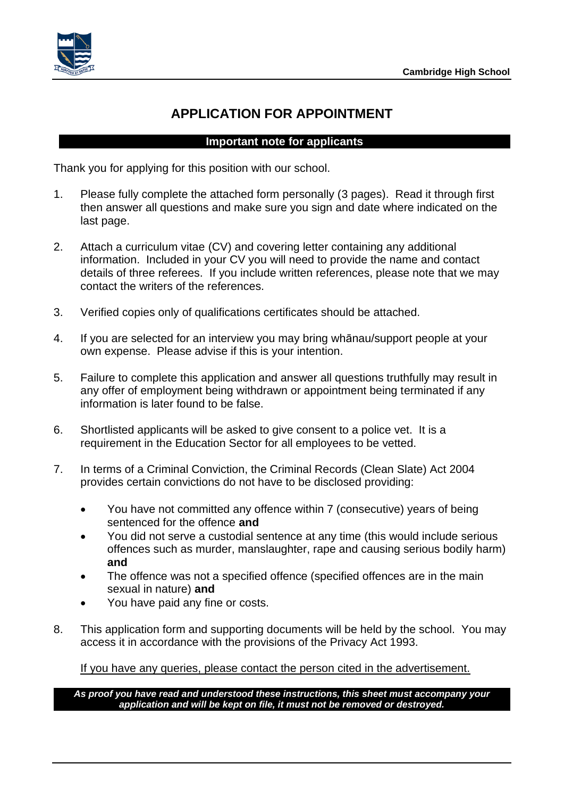

## **APPLICATION FOR APPOINTMENT**

### **Important note for applicants**

Thank you for applying for this position with our school.

- 1. Please fully complete the attached form personally (3 pages). Read it through first then answer all questions and make sure you sign and date where indicated on the last page.
- 2. Attach a curriculum vitae (CV) and covering letter containing any additional information. Included in your CV you will need to provide the name and contact details of three referees. If you include written references, please note that we may contact the writers of the references.
- 3. Verified copies only of qualifications certificates should be attached.
- 4. If you are selected for an interview you may bring whānau/support people at your own expense. Please advise if this is your intention.
- 5. Failure to complete this application and answer all questions truthfully may result in any offer of employment being withdrawn or appointment being terminated if any information is later found to be false.
- 6. Shortlisted applicants will be asked to give consent to a police vet. It is a requirement in the Education Sector for all employees to be vetted.
- 7. In terms of a Criminal Conviction, the Criminal Records (Clean Slate) Act 2004 provides certain convictions do not have to be disclosed providing:
	- You have not committed any offence within 7 (consecutive) years of being sentenced for the offence **and**
	- You did not serve a custodial sentence at any time (this would include serious offences such as murder, manslaughter, rape and causing serious bodily harm) **and**
	- The offence was not a specified offence (specified offences are in the main sexual in nature) **and**
	- You have paid any fine or costs.
- 8. This application form and supporting documents will be held by the school. You may access it in accordance with the provisions of the Privacy Act 1993.

If you have any queries, please contact the person cited in the advertisement.

*As proof you have read and understood these instructions, this sheet must accompany your application and will be kept on file, it must not be removed or destroyed.*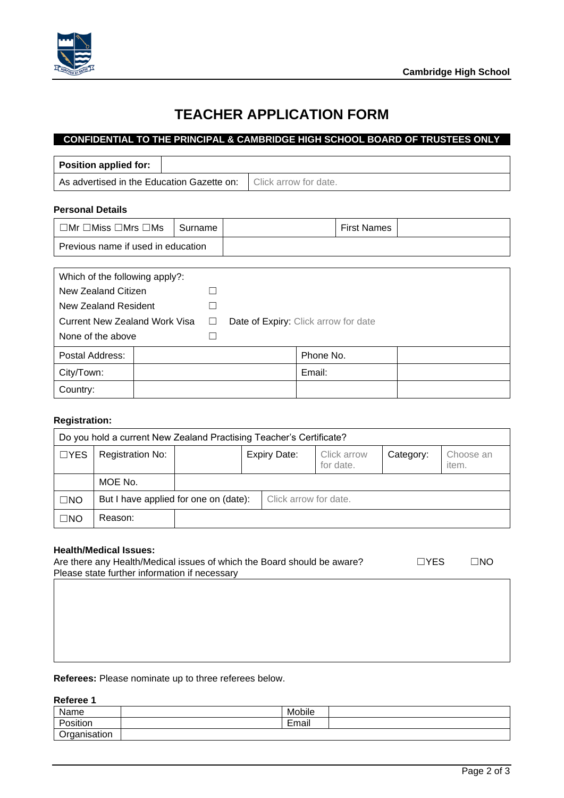

## **TEACHER APPLICATION FORM**

### **CONFIDENTIAL TO THE PRINCIPAL & CAMBRIDGE HIGH SCHOOL BOARD OF TRUSTEES ONLY**

| <b>Position applied for:</b>                                        |                                      |  |  |           |                    |  |
|---------------------------------------------------------------------|--------------------------------------|--|--|-----------|--------------------|--|
| As advertised in the Education Gazette on:<br>Click arrow for date. |                                      |  |  |           |                    |  |
| <b>Personal Details</b>                                             |                                      |  |  |           |                    |  |
| $\Box$ Mr $\Box$ Miss $\Box$ Mrs $\Box$ Ms                          | Surname                              |  |  |           | <b>First Names</b> |  |
| Previous name if used in education                                  |                                      |  |  |           |                    |  |
|                                                                     |                                      |  |  |           |                    |  |
| Which of the following apply?:                                      |                                      |  |  |           |                    |  |
| New Zealand Citizen                                                 |                                      |  |  |           |                    |  |
| New Zealand Resident                                                |                                      |  |  |           |                    |  |
| Current New Zealand Work Visa                                       | Date of Expiry: Click arrow for date |  |  |           |                    |  |
| None of the above                                                   |                                      |  |  |           |                    |  |
| Postal Address:                                                     |                                      |  |  | Phone No. |                    |  |

#### **Registration:**

Country:

| Do you hold a current New Zealand Practising Teacher's Certificate? |                                       |                     |  |                       |                          |           |                    |
|---------------------------------------------------------------------|---------------------------------------|---------------------|--|-----------------------|--------------------------|-----------|--------------------|
| $\Box$ YES                                                          | <b>Registration No:</b>               | <b>Expiry Date:</b> |  |                       | Click arrow<br>for date. | Category: | Choose an<br>item. |
|                                                                     | MOE No.                               |                     |  |                       |                          |           |                    |
| $\Box$ NO                                                           | But I have applied for one on (date): |                     |  | Click arrow for date. |                          |           |                    |
| $\Box$ NO                                                           | Reason:                               |                     |  |                       |                          |           |                    |

#### **Health/Medical Issues:**

| Are there any Health/Medical issues of which the Board should be aware? | $\Box$ YES | $\Box$ No |
|-------------------------------------------------------------------------|------------|-----------|
| Please state further information if necessary                           |            |           |
|                                                                         |            |           |

**Referees:** Please nominate up to three referees below.

City/Town: and the contract of the contract of the contract of the contract of the contract of the contract of the contract of the contract of the contract of the contract of the contract of the contract of the contract of

#### **Referee 1**

| Name                      | $\cdot$ .<br>Mobile |  |
|---------------------------|---------------------|--|
| $\cdots$<br>P.<br>osition | -<br><br>Email      |  |
| ∽<br>tion<br>~            |                     |  |